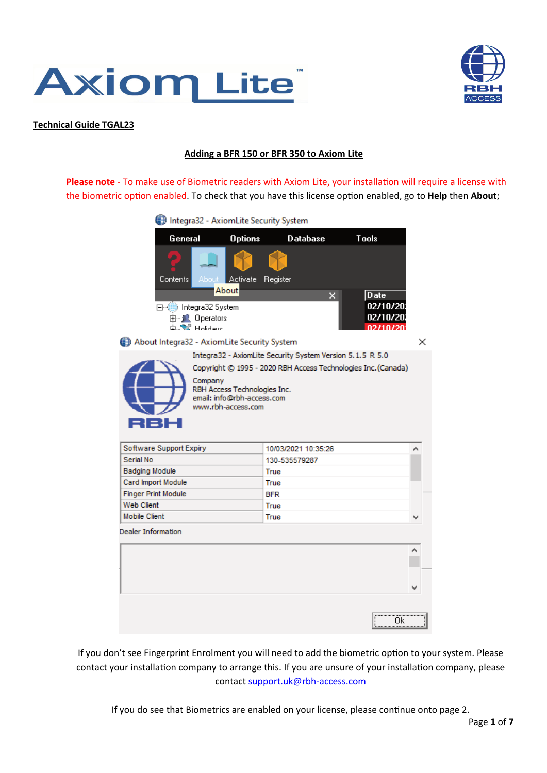



### **Technical Guide TGAL23**

### **Adding a BFR 150 or BFR 350 to Axiom Lite**

Please note - To make use of Biometric readers with Axiom Lite, your installation will require a license with the biometric option enabled. To check that you have this license option enabled, go to **Help** then **About**;

| Integra32 - AxiomLite Security System                                                       |                     |                                                               |                                                   |   |
|---------------------------------------------------------------------------------------------|---------------------|---------------------------------------------------------------|---------------------------------------------------|---|
| General                                                                                     | <b>Options</b>      | <b>Database</b>                                               | Tools                                             |   |
| About Activate<br>Contents                                                                  | Register            |                                                               |                                                   |   |
| About<br>□ (iii) Integra32 System<br>由 】 Operators<br>中心学 Holidaus                          |                     | ×                                                             | Date<br>02/10/20<br>02/10/20<br><u>וחלי הדלכה</u> |   |
| About Integra32 - AxiomLite Security System                                                 |                     | Integra32 - AxiomLite Security System Version 5.1.5 R 5.0     |                                                   | x |
| Company<br>RBH Access Technologies Inc.<br>email: info@rbh-access.com<br>www.rbh-access.com |                     | Copyright © 1995 - 2020 RBH Access Technologies Inc. (Canada) |                                                   |   |
| Software Support Expiry                                                                     |                     | 10/03/2021 10:35:26                                           |                                                   | ^ |
| Serial No                                                                                   |                     | 130-535579287                                                 |                                                   |   |
| <b>Badging Module</b>                                                                       | True                |                                                               |                                                   |   |
| Card Import Module                                                                          | True                |                                                               |                                                   |   |
| <b>Finger Print Module</b><br><b>Web Client</b>                                             | <b>BFR</b>          |                                                               |                                                   |   |
| <b>Mobile Client</b>                                                                        | <b>True</b><br>True |                                                               |                                                   |   |
| Dealer Information                                                                          |                     |                                                               |                                                   |   |
|                                                                                             |                     |                                                               |                                                   |   |
|                                                                                             |                     |                                                               |                                                   |   |
|                                                                                             |                     |                                                               | <br>Οk<br>                                        |   |

If you don't see Fingerprint Enrolment you will need to add the biometric option to your system. Please contact your installation company to arrange this. If you are unsure of your installation company, please contact support.uk@rbh-access.com

If you do see that Biometrics are enabled on your license, please continue onto page 2.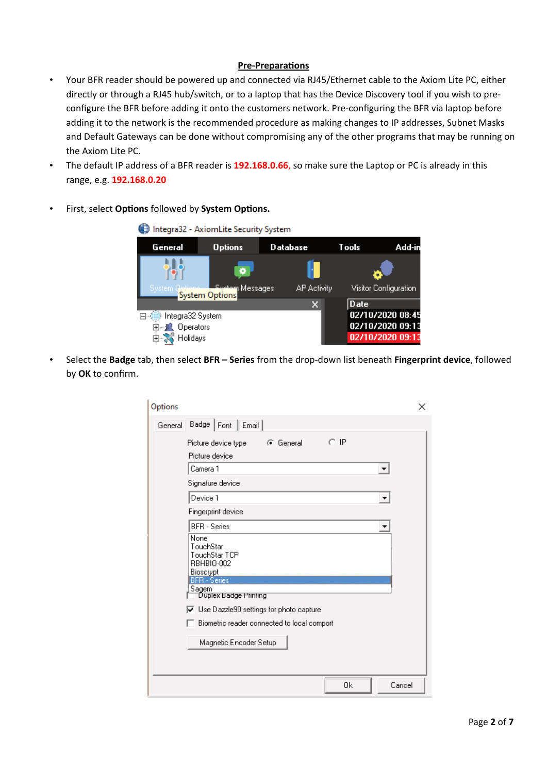## **Pre-Preparations**

- Your BFR reader should be powered up and connected via RJ45/Ethernet cable to the Axiom Lite PC, either directly or through a RJ45 hub/switch, or to a laptop that has the Device Discovery tool if you wish to preconfigure the BFR before adding it onto the customers network. Pre-configuring the BFR via laptop before adding it to the network is the recommended procedure as making changes to IP addresses, Subnet Masks and Default Gateways can be done without compromising any of the other programs that may be running on the Axiom Lite PC.
- The default IP address of a BFR reader is **192.168.0.66**, so make sure the Laptop or PC is already in this range, e.g. **192.168.0.20**
- First, select **Options** followed by **System Options.**

|                              | Integra32 - AxiomLite Security System |                    |             |                       |
|------------------------------|---------------------------------------|--------------------|-------------|-----------------------|
| General                      | <b>Options</b>                        | Database           | Tools:      | Add-in                |
|                              |                                       |                    |             |                       |
| System 0                     | <b>Tellieux L. Sustem Messages</b>    | <b>AP Activity</b> |             | Visitor Configuration |
|                              |                                       | ×                  | <b>Date</b> |                       |
| Integra32 System             |                                       |                    |             | 02/10/2020 08:45      |
| 由…」 <mark>!</mark> Operators |                                       |                    |             | 02/10/2020 09:13      |
| Ė.<br>Holidays               |                                       |                    |             | 02/10/2020 09:13      |

• Select the **Badge** tab, then select **BFR – Series** from the drop-down list beneath **Fingerprint device**, followed by **OK** to confirm.

| Options                                                                                                                | ×      |
|------------------------------------------------------------------------------------------------------------------------|--------|
| Badge   Font   Email  <br>General                                                                                      |        |
| O IP<br>⊙ General<br>Picture device type                                                                               |        |
| Picture device                                                                                                         |        |
| Camera 1                                                                                                               |        |
| Signature device                                                                                                       |        |
| Device 1                                                                                                               |        |
| Fingerprint device                                                                                                     |        |
| <b>BFR</b> - Series                                                                                                    |        |
| None<br>TouchStar<br>TouchStar TCP<br>RBHBIO-002<br>Bioscrypt<br><b>BFR</b> - Series<br>Sagem                          |        |
| Duplex Badge Printing                                                                                                  |        |
| $\overline{\blacktriangledown}$ Use Dazzle90 settings for photo capture<br>Biometric reader connected to local comport |        |
| Magnetic Encoder Setup                                                                                                 |        |
|                                                                                                                        |        |
| 0k                                                                                                                     | Cancel |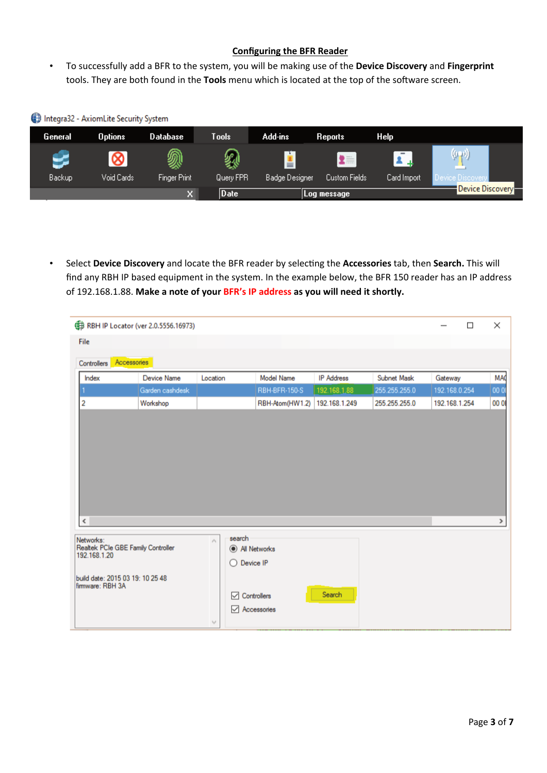# **Configuring the BFR Reader**

• To successfully add a BFR to the system, you will be making use of the **Device Discovery** and **Fingerprint** tools. They are both found in the Tools menu which is located at the top of the software screen.

| Integra32 - AxiomLite Security System |                |                     |           |                |                      |             |                  |
|---------------------------------------|----------------|---------------------|-----------|----------------|----------------------|-------------|------------------|
| General                               | <b>Options</b> | Database            | Tools     | Add-ins        | Reports              | Help        |                  |
|                                       |                | இ                   |           | ≛              | $2 = 1$              |             | $(\mathbf{r},t)$ |
| <b>Backup</b>                         | Void Cards     | <b>Finger Print</b> | Query FPR | Badge Designer | <b>Custom Fields</b> | Card Import | de Discovery     |
|                                       |                | ×.                  | Date      |                | Log message          |             | Device Discovery |

• Select **Device Discovery** and locate the BFR reader by selec�ng the **Accessories** tab, then **Search.** This will find any RBH IP based equipment in the system. In the example below, the BFR 150 reader has an IP address of 192.168.1.88. **Make a note of your BFR's IP address as you will need it shortly.**

| (# RBH IP Locator (ver 2.0.5556.16973)                                                                                  |                    |                                        |                                                                                          |                   |                   |               |               | □ | ×          |
|-------------------------------------------------------------------------------------------------------------------------|--------------------|----------------------------------------|------------------------------------------------------------------------------------------|-------------------|-------------------|---------------|---------------|---|------------|
| File                                                                                                                    |                    |                                        |                                                                                          |                   |                   |               |               |   |            |
| Accessories<br>Controllers                                                                                              |                    |                                        |                                                                                          |                   |                   |               |               |   |            |
| Index                                                                                                                   | <b>Device Name</b> | Location                               |                                                                                          | <b>Model Name</b> | <b>IP</b> Address | Subnet Mask   | Gateway       |   | <b>MAC</b> |
|                                                                                                                         | Garden cashdesk    |                                        |                                                                                          | RBH-BFR-150-S     | 192.168.1.88      | 255.255.255.0 | 192.168.0.254 |   | 000        |
| 2                                                                                                                       | Workshop           |                                        |                                                                                          | RBH-Atom(HW1.2)   | 192.168.1.249     | 255.255.255.0 | 192.168.1.254 |   | 00 01      |
| $\left\langle \cdot \right\rangle$                                                                                      |                    |                                        |                                                                                          |                   |                   |               |               |   | >          |
| Networks:<br>Realtek PCIe GBE Family Controller<br>192.168.1.20<br>build date: 2015 03 19: 10 25 48<br>firmware: RBH 3A |                    | $\mathcal{O}_N$<br>$\lambda_{\rm D} t$ | search<br>All Networks<br>Device IP<br>O<br>$\sqrt{ }$ Controllers<br>$\vee$ Accessories |                   | Search            |               |               |   |            |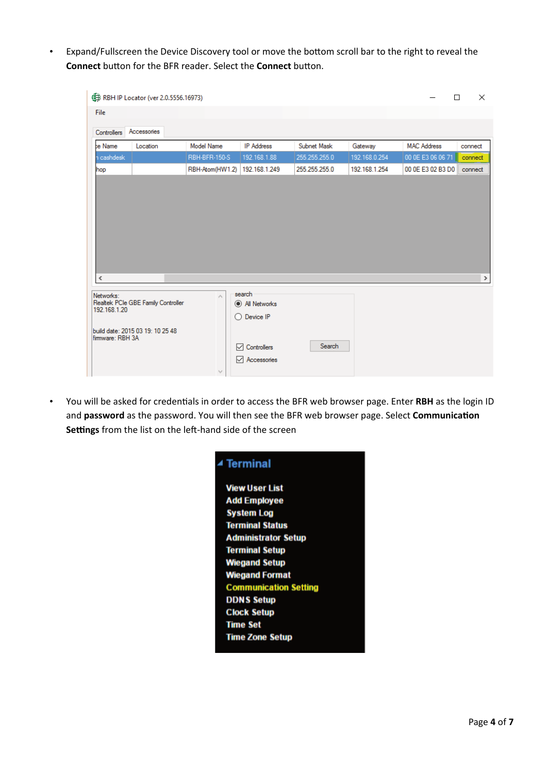• Expand/Fullscreen the Device Discovery tool or move the bottom scroll bar to the right to reveal the **Connect** button for the BFR reader. Select the **Connect** button.

|                                  | <b>B</b> RBH IP Locator (ver 2.0.5556.16973) |                           |                                                |               |               | П                  | $\times$ |
|----------------------------------|----------------------------------------------|---------------------------|------------------------------------------------|---------------|---------------|--------------------|----------|
| File                             |                                              |                           |                                                |               |               |                    |          |
| <b>Controllers</b>               | Accessories                                  |                           |                                                |               |               |                    |          |
| be Name                          | Location                                     | Model Name                | <b>IP Address</b>                              | Subnet Mask   | Gateway       | <b>MAC Address</b> | connect  |
| n cashdesk                       |                                              | RBH-BFR-150-S             | 192.168.1.88                                   | 255.255.255.0 | 192.168.0.254 | 00 0E E3 06 06 71  | connect  |
| hop                              |                                              | RBH-Atom(HW1.2)           | 192.168.1.249                                  | 255.255.255.0 | 192.168.1.254 | 00 0E E3 02 B3 D0  | connect  |
| ∢                                |                                              |                           |                                                |               |               |                    | $\,$     |
|                                  |                                              |                           |                                                |               |               |                    |          |
| Networks:<br>192.168.1.20        | Realtek PCIe GBE Family Controller           | $\mathcal{O}_\mathcal{C}$ | search<br>All Networks<br>$\bigcirc$ Device IP |               |               |                    |          |
| build date: 2015 03 19: 10 25 48 |                                              |                           |                                                |               |               |                    |          |

• You will be asked for credentials in order to access the BFR web browser page. Enter RBH as the login ID and password as the password. You will then see the BFR web browser page. Select Communication Settings from the list on the left-hand side of the screen

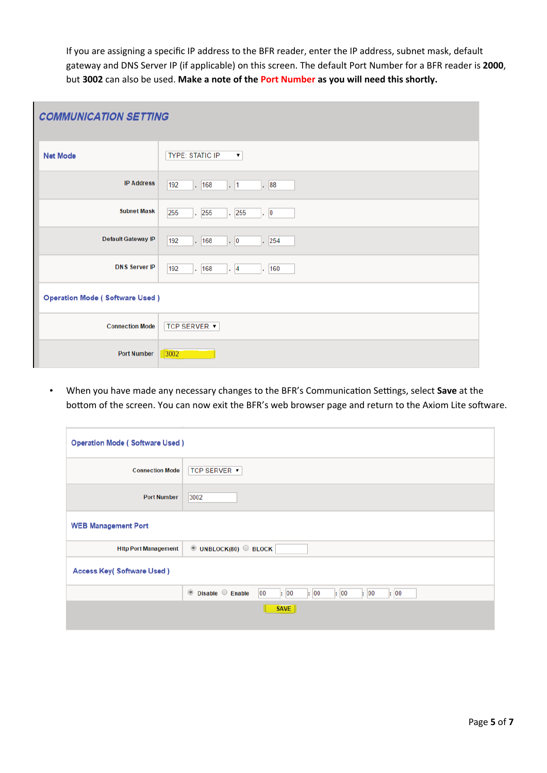If you are assigning a specific IP address to the BFR reader, enter the IP address, subnet mask, default gateway and DNS Server IP (if applicable) on this screen. The default Port Number for a BFR reader is **2000**, but **3002** can also be used. **Make a note of the Port Number as you will need this shortly.**

| <b>COMMUNICATION SETTING</b>          |                                              |  |  |  |  |
|---------------------------------------|----------------------------------------------|--|--|--|--|
| <b>Net Mode</b>                       | <b>TYPE: STATIC IP</b><br>$\pmb{\mathrm{v}}$ |  |  |  |  |
| <b>IP Address</b>                     | . 88<br>192<br>. 168<br>$\cdot$ 1            |  |  |  |  |
| <b>Subnet Mask</b>                    | 255<br>.255<br>. 255<br>$\cdot$ 0            |  |  |  |  |
| <b>Default Gateway IP</b>             | $\vert . \vert 0$<br>192<br>. 168<br>. 254   |  |  |  |  |
| <b>DNS Server IP</b>                  | 192<br>. 168<br>$\cdot$ 4<br>160<br>v.       |  |  |  |  |
| <b>Operation Mode (Software Used)</b> |                                              |  |  |  |  |
| <b>Connection Mode</b>                | <b>TCP SERVER ▼</b>                          |  |  |  |  |
| <b>Port Number</b>                    | 3002                                         |  |  |  |  |

• When you have made any necessary changes to the BFR's Communication Settings, select **Save** at the bottom of the screen. You can now exit the BFR's web browser page and return to the Axiom Lite software.

| <b>Operation Mode (Software Used)</b> |                                                                  |
|---------------------------------------|------------------------------------------------------------------|
| <b>Connection Mode</b>                | <b>TCP SERVER ▼</b>                                              |
| <b>Port Number</b>                    | 3002                                                             |
| <b>WEB Management Port</b>            |                                                                  |
| <b>Http Port Management</b>           | $\bullet$ UNBLOCK(80) $\circ$ BLOCK                              |
| <b>Access Key( Software Used)</b>     |                                                                  |
|                                       | ● Disable ● Enable<br>00<br>: 00<br>: 00<br>: 00<br>: 00<br>: 00 |
|                                       | <b>SAVE</b>                                                      |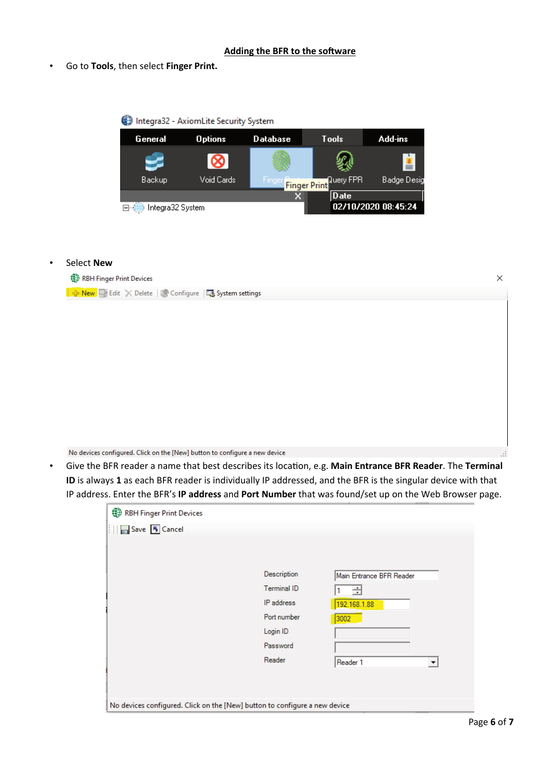### **Adding the BFR to the software**

• Go to **Tools**, then select **Finger Print.**



### • Select **New**



No devices configured. Click on the [New] button to configure a new device

• Give the BFR reader a name that best describes its loca�on, e.g. **Main Entrance BFR Reader**. The **Terminal ID** is always **1** as each BFR reader is individually IP addressed, and the BFR is the singular device with that IP address. Enter the BFR's **IP address** and **Port Number** that was found/set up on the Web Browser page.

| Description | Main Entrance BFR Reader         |
|-------------|----------------------------------|
| Terminal ID | ∃                                |
| IP address  | 192.168.1.88                     |
| Port number | 3002                             |
| Login ID    |                                  |
| Password    |                                  |
| Reader      | Reader 1<br>$\blacktriangledown$ |
|             |                                  |
|             |                                  |
|             |                                  |